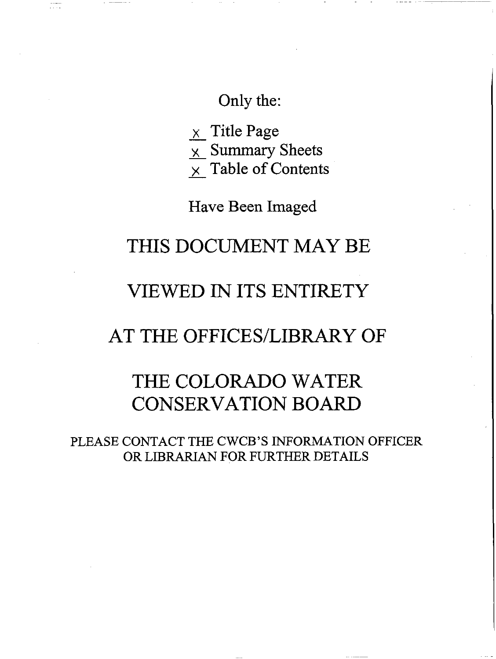# Only the:

 $\times$  Title Page

 $\times$  Summary Sheets

 $\frac{\lambda}{\lambda}$  Table of Contents

Have Been Imaged

# THIS DOCUMENT MAY BE

# VIEWED IN ITS ENTIRETY

# AT THE OFFICES/LIBRARY OF

# THE COLORADO WATER CONSERVATION BOARD

PLEASE CONTACT THE CWCB'S INFORMATION OFFICER OR LIDRARIAN FOR FURTHER DETAILS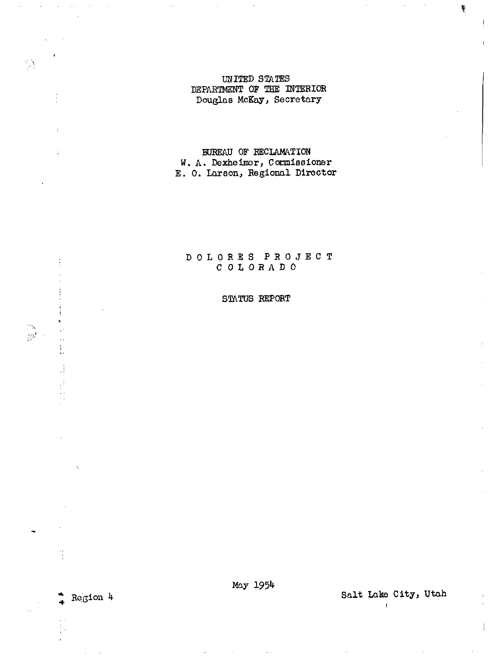### UNITED STATES DEPARTMENT OF THE INTERIOR Douglas McKay, Secretary

BUREAU OF RECLAMATION W. A. Dexheimer, Commissioner<br>E. O. Larson, Regional Director

### DOLORES PROJECT COLORADO

### STATUS REPORT

 $Region$  4

 $\frac{1}{2}$ 

 $\mathfrak{t}$ 

Ì.

 $\frac{1}{2}$ 

Salt Lake City, Utah

 $\begin{array}{c} \hline \end{array}$ 

 $\mathbf{r}$ 

¥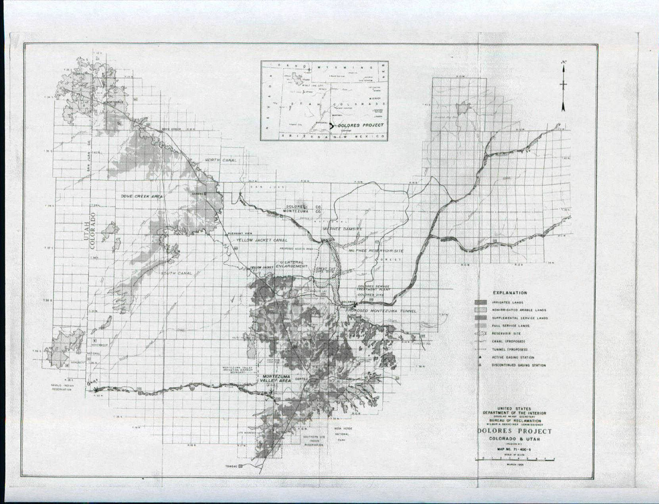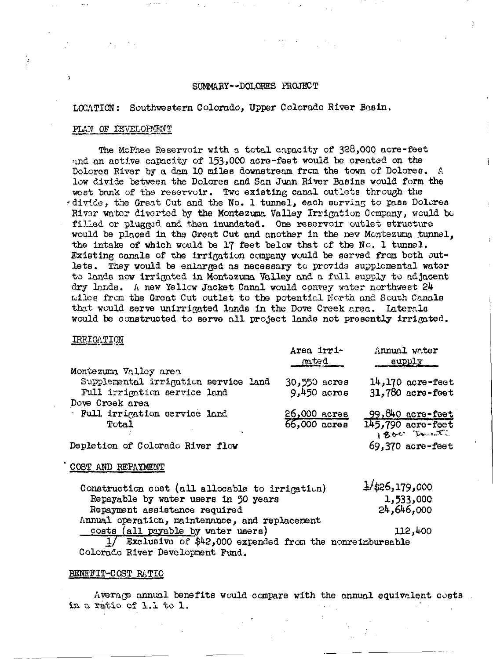#### SUMMARY--DOLORES PROJECT

LOCATION: Southwestern Colorado, Upper Colorado River Basin.

#### PLAN OF DEVELOPMENT

The McPhee Reservoir with a total capacity of 328,000 acre-feet and an active capacity of 153,000 acre-feet would be created on the Dolores River by a dam 10 miles downstream from the town of Dolores. A low divide between the Dolores and San Juan River Basins would form the west bank of the reservoir. Two existing canal outlets through the \*divide, the Great Cut and the No. 1 tunnel, each serving to pass Dolores River water diverted by the Montezuma Valley Irrigation Company, would be filled or plugged and then inundated. One reservoir outlet structure would be placed in the Great Cut and another in the new Montezuma tunnel. the intake of which would be 17 feet below that of the No. 1 tunnel. Existing canals of the irrigation company would be served from both outlets. They would be enlarged as necessary to provide supplemental water to lands now irrigated in Montozuma Valley and a full supply to adjacent dry lands. A new Yellow Jacket Canal would convey water northwest 24 miles from the Great Cut outlet to the potential North and South Canals that would serve unirrigated lands in the Dove Creek area. Laterals would be constructed to serve all project lands not presently irrigated.

### IRRIGATION

|                                      | Area irri-<br>$m$ ted | Annual water<br>supply |  |  |  |
|--------------------------------------|-----------------------|------------------------|--|--|--|
| Montezuma Valley area                |                       |                        |  |  |  |
| Supplemental irrigation service land | 30,550 acres          | $14,170$ acre-feet     |  |  |  |
| Full irrigation service land         | $9,450$ acres         | $31,780$ acre-feet     |  |  |  |
| Dove Creek area                      |                       |                        |  |  |  |
| Full irrigation service land         | $26,000$ acres        | 99,840 acre-feet       |  |  |  |
| Total                                | 66,000 acres          | 145,790 acre-feet      |  |  |  |
|                                      |                       | 1800 Doment            |  |  |  |
| Depletion of Colorado River flow     |                       | $69.370$ acre-feet     |  |  |  |

#### COST AND REPAYMENT

| Construction cost (all allocable to irrigation)            | $\frac{1}{2}$ /\$26,179,000 |
|------------------------------------------------------------|-----------------------------|
| Repayable by water users in 50 years                       | 1,533,000                   |
| Repayment assistance required                              | 24,646,000                  |
| Annual operation, maintenance, and replacement             |                             |
| costs (all payable by water users)                         | 112,400                     |
| 1/ Exclusive of \$42,000 expended from the nonreinbursable |                             |

## Colorado River Development Fund.

#### BENEFIT-COST RATIO

Average annual benefits would compare with the annual equivalent costs. in a ratio of 1.1 to 1.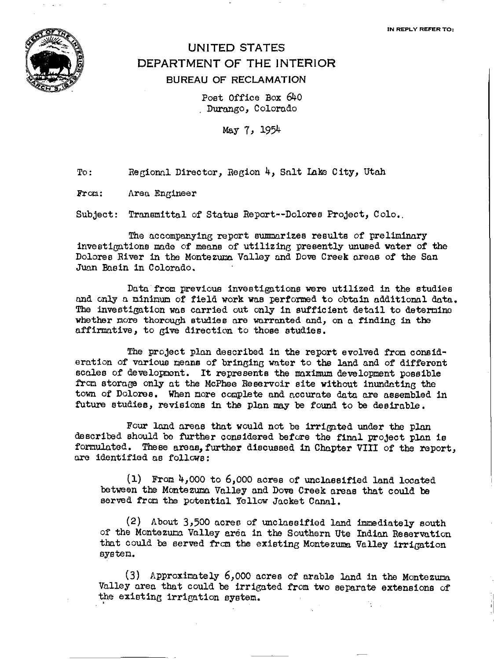IN REPLY REFER TO:



## UNITED STATES DEPARTMENT OF THE INTERIOR BUREAU OF RECLAMATION

Post Office Box 640 Durango, Colorado

May 7, 1954

To: Regionnl Director, Region 4, Snlt !aka City, Utah

From: Area Engineer

Subject: Transmittal of Status Report--Dolores Project, Colo..

The accompanying report summarizes results of preliminary investigations mode of means of utilizing presently unused water of the Dolores River in the Montezuma Valley and Dove Creek areas of the San Juan Basin in Colorado.

Data from previous investigations were utilized in the studies and only a minimum of field work was performed to obtain additional data. The investigation was carried out only in sufficient detail to determine whether more thorough studies are warranted and, on a finding in the affirmative, to give direction to those studies.

The project plan described in the report evolved from consideration of various means of bringing water to the land and of different scales of development. It represents the maximum development possible from storage only at the McPhee Reservoir site without inundating the town of Dolores. When more complete and accurate data are assembled in future studies, revisions in the plan may be found to be desirable.

Four land areas that would not be irrigated under the plan described should be further considered before the final project plan is formulated. These areas, further discussed in Chapter VIII of the report, are identified as follows:

1) From 4, 000 to 6, 000 acres of unclassified land located between the Montezuma Valley and Dove Creek areas that could be served from the potential Yellow Jacket Canal.

 $(2)$  About 3,500 acres of unclassified land immediately south of the Montezum Valley area in the Southern Ute Indian Reservo.tion that could be served from the existing Montezuma Valley irrigation system.

(3) Approximately 6,000 acres of arable land in the Montezuma Valley area that could be irrigated from two separate extensions of the existing irrigation system.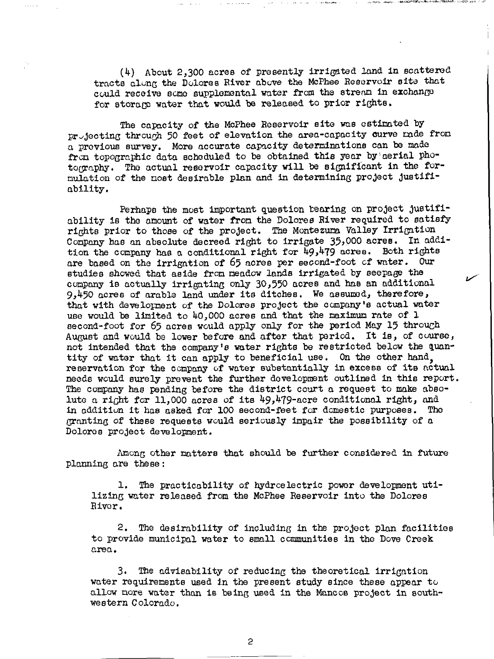(4) About 2,300 acres of presently irrigated land in scattered tracts along the Dolores River above the McPhee Reservoir site that could receive some supplemental water from the stream in exchange for storage water that would be released to prior rights.

The capacity of the McPhee Reservoir site was estimated by projecting through 50 feet of elevation the area-capacity curve made from a previous survey. More accurate capacity determinations can be made from topographic data scheduled to be obtained this year by aerial photography. The actual reservoir capacity will be significant in the formulation of the most desirable plan and in determining project justifiability.

Perhaps the most important question tearing on project justifiability is the amount of water from the Dolores River required to satisfy rights prior to those of the project. The Montezuma Valley Irrigation Company has an absolute decreed right to irrigate 35,000 acres. In addition the company has a conditional right for  $49,479$  acres. Both rights are based on the irrigation of 65 acres per second-foot of water. Our studies showed that aside from meadow lands irrigated by seepage the company is actually irrigating only 30,550 acres and has an additional 9,450 acres of arable land under its ditches. We assumed, therefore, that with development of the Dolores project the company's actual water use would be limited to 40,000 acres and that the maximum rate of 1 second-foot for 65 acres would apply only for the period May 15 through August and would be lower before and after that period. It is, of course, not intended that the company's water rights be restricted below the quantity of water that it can apply to beneficial use. On the other hand. reservation for the company of water substantially in excess of its actual needs would surely prevent the further development outlined in this report. The company has pending before the district court a request to make absolute a right for 11,000 acres of its 49,479-acre conditional right, and in addition it has asked for 100 second-feet for domestic purposes. The granting of these requests would seriously impair the possibility of a Dolores project development.

Among other matters that should be further considered in future planning are these:

The practicability of hydroelectric power development utiı. lizing water released from the McPhee Reservoir into the Dolores River.

 $2.$ The desirability of including in the project plan facilities to provide municipal water to small communities in the Dove Creek area.

 $3.$ The advisability of reducing the theoretical irrigation water requirements used in the present study since these appear to allow more water than is being used in the Mancos project in southwestern Colorado.

 $\overline{c}$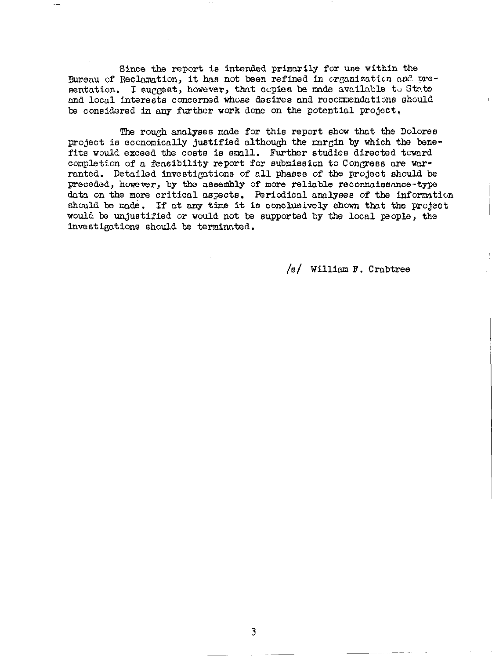Since the report is intended primarily for use within the Bureau of Reclamation, it has not been refined in organization and presentation. I suggest, however, that copies be made available to State and local interests concerned whose desires and recommendations should be considered in any further work done on the potential project.

The rough analyses made for this report show that the Dolores project is economically justified although the margin by which the benefits would exceed the costs is small. Further studies directed toward completion of a feasibility report for submission to Congress are warranted. Detailed investigations of all phases of the project should be preceded, however, by the assembly of more reliable reconnaissance-type data on the more critical aspects. Periodical analyses of the information should be made. If at any time it is conclusively shown that the project would be unjustified or would not be supported by the local people, the investigations should be terminated.

 $/s/$  William F. Crabtree

3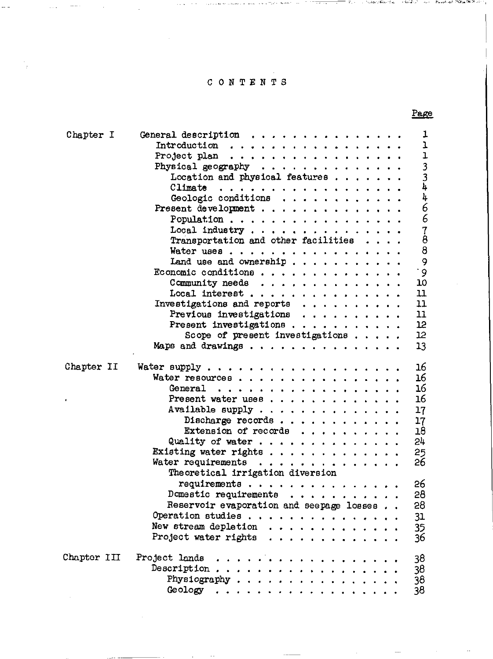### CONTENTS

| Chapter I   | ı<br>General description $\ldots \ldots \ldots \ldots \ldots$              |
|-------------|----------------------------------------------------------------------------|
|             | $\mathbf{I}$                                                               |
|             | $\mathbf{I}$<br>Project plan $\ldots$ ,                                    |
|             | $3^{3}$<br>$3^{1}$<br>Physical geography $\ldots$                          |
|             | Location and physical features                                             |
|             |                                                                            |
|             | 4<br>Geologic conditions                                                   |
|             | 66788                                                                      |
|             | Population $\ldots$ , $\ldots$ , $\ldots$ , $\ldots$ , $\ldots$ , $\ldots$ |
|             | Local industry                                                             |
|             | Transportation and other facilities                                        |
|             | Water uses                                                                 |
|             | 9<br>Land use and ownership                                                |
|             | $\cdot$ 9                                                                  |
|             | Economic conditions                                                        |
|             | 10<br>Community needs                                                      |
|             | 11<br>Local interest                                                       |
|             | 11<br>Investigations and reports $\ldots$                                  |
|             | 11<br>Previous investigations $\ldots$                                     |
|             | Present investigations<br>12                                               |
|             | 12<br>Scope of present investigations                                      |
|             | 13<br>Maps and drawings                                                    |
| Chapter II  | 16                                                                         |
|             | 16                                                                         |
|             | Water resources                                                            |
|             | 16<br>General                                                              |
|             | 16<br>Present water uses                                                   |
|             | Available supply<br>17                                                     |
|             | Discharge records<br>17                                                    |
|             | Extension of records<br>18                                                 |
|             | 54<br>Quality of water                                                     |
|             | Existing water rights<br>25                                                |
|             | 26<br>Water requirements                                                   |
|             | Theoretical irrigation diversion                                           |
|             | 26                                                                         |
|             | Domestic requirements $\ldots$ ,,,,,,,,,<br>28                             |
|             |                                                                            |
|             | Reservoir evaporation and seepage losses<br>28                             |
|             | 31                                                                         |
|             | New stream depletion $\cdots$ ,<br>35                                      |
|             | Project water rights $\ldots$<br>36                                        |
| Chapter III | Project lands<br>38                                                        |
|             | 38                                                                         |
|             | 38                                                                         |
|             |                                                                            |
|             | 38                                                                         |

### Page

c,;,','''''-''\_\_''';' ,~.,\_ l,.' 0&:;..:;.",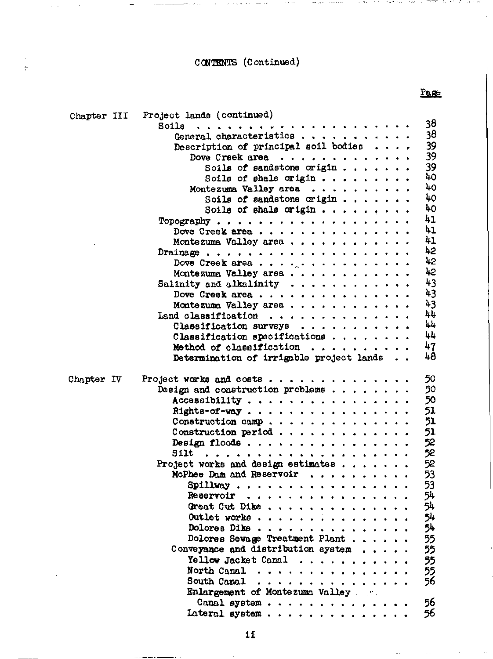Page

J.  $\frac{\epsilon}{\epsilon}$ 

| Chapter III | Project lands (continued)                             |
|-------------|-------------------------------------------------------|
|             | 38<br>Soils                                           |
|             | 38<br>General characteristics                         |
|             | 39<br>Description of principal soil bodies $\ldots$ , |
|             | 39<br>Dove Creek area                                 |
|             | 39<br>Soils of sandstone origin                       |
|             | 40<br>Soils of shale origin                           |
|             | 40<br>Montezuma Valley area                           |
|             | 40<br>Soils of sandstone origin                       |
|             | 40                                                    |
|             | 41<br>Topography                                      |
|             | 41<br>Dove Creek area                                 |
|             | 41<br>Montezuma Valley area                           |
|             | 42<br>Drainage                                        |
|             | 42<br>Dove Creek area                                 |
|             | 42<br>Montezuma Valley area                           |
|             | 43<br>Salinity and alkalinity $\cdots$                |
|             | 43<br>Dove Creek area                                 |
|             | 43<br>Montezuma Valley area                           |
|             | 44<br>Land classification                             |
|             | 44<br>Classification surveys                          |
|             | 44<br>Classification specifications $\ldots$ ,        |
|             | 47<br>Method of classification                        |
|             | 48<br>Determination of irrigable project lands        |
|             |                                                       |
| Chapter IV  | 50<br>Project works and costs                         |
|             | Design and construction problems $\ldots$<br>50       |
|             | Accessibility<br>50                                   |
|             | 51<br>Rights-of-way                                   |
|             | 51<br>Construction camp                               |
|             | 51<br>Construction period                             |
|             | 52<br>Design floods                                   |
|             | 52                                                    |
|             | 52<br>Project works and design estimates              |
|             | McPhee Dam and Reservoir<br>53                        |
|             | 53<br>Spillway                                        |
|             | 54<br>Reservoir                                       |
|             | 54<br>Great Cut Dike                                  |
|             | 54<br>Outlet works                                    |
|             | 54<br>Dolores Dike                                    |
|             | Dolores Sewage Treatment Plant<br>55                  |
|             | 55<br>Converance and distribution system $\ldots$ .   |
|             | 55<br>Yellow Jacket Canal                             |
|             | North Canal<br>55                                     |
|             | 56<br><b>South Capal</b><br>.                         |
|             | Enlargement of Montezuma Valley                       |
|             | 56<br>Canal system                                    |
|             | 56<br>Lateral system                                  |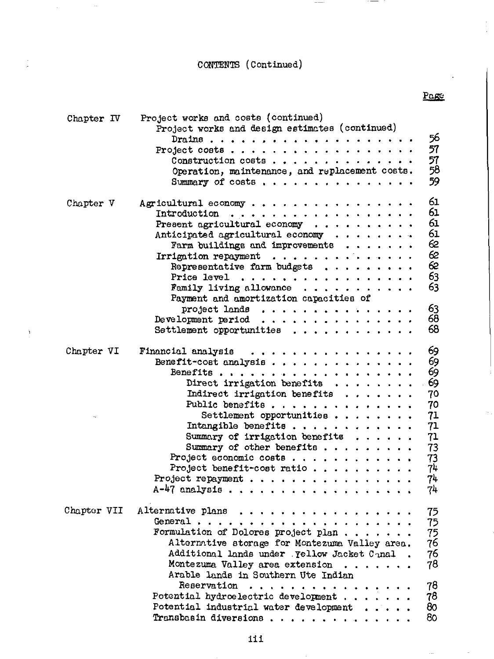Page

| Chapter IV  | Project works and costs (continued)<br>Project works and design estimates (continued)<br>56<br>57<br>Project costs<br>57<br>Construction costs<br>58<br>Operation, maintenance, and replacement costs.<br>59<br>Summary of $costs$ ,                                                                                                                                                                                                                            |
|-------------|-----------------------------------------------------------------------------------------------------------------------------------------------------------------------------------------------------------------------------------------------------------------------------------------------------------------------------------------------------------------------------------------------------------------------------------------------------------------|
| Chapter V   | 61<br>Agricultural economy<br>61<br>Introduction $\ldots$<br>61<br>Present agricultural economy $\cdots$<br>61<br>Anticipated agricultural economy<br>62<br>Farm buildings and improvements $\dots \dots$<br>62<br>Irrigation repayment $\ldots$<br>62<br>Representative farm budgets $\dots \dots \dots$<br>63<br>Price level $\ldots$ , , , , , , , , , , , , , , , , ,<br>63<br>Family living allowance $\ldots$ ,<br>Payment and amortization capacities of |
|             | 63<br>project lands<br>68<br>Development period $\ldots$<br>68                                                                                                                                                                                                                                                                                                                                                                                                  |
| Chapter VI  | 69<br>Financial analysis<br>69<br>Benefit-cost analysis<br>69<br>69<br>Direct irrigation benefits $\ldots$<br>Indirect irrigation benefits $\ldots$<br>70<br>Public benefits<br>70<br>Settlement opportunities<br>71<br>71<br>Summary of irrigation benefits $\ldots$ .<br>71<br>Summary of other benefits $\ldots$<br>73<br>73<br>Project economic costs<br>74<br>Project benefit-cost ratio<br>74.<br>Project repayment $\ldots$ ,<br>A-47 analysis<br>74     |
| Chapter VII | Alternative plans<br>75<br>General<br>75<br>Formulation of Dolores project plan<br>75<br>76<br>Alternative storage for Montezuma Valley area.<br>76<br>Additional lands under . Yellow Jacket Canal.<br>Montezuma Valley area extension<br>78<br>Arable lands in Southern Ute Indian                                                                                                                                                                            |
|             | 78<br>Reservation<br>Potential hydroelectric development<br>78.<br>80<br>Potential industrial water development<br>R∩.<br>Tranchoodn Aircrafono                                                                                                                                                                                                                                                                                                                 |

 $\hat{\boldsymbol{\beta}}$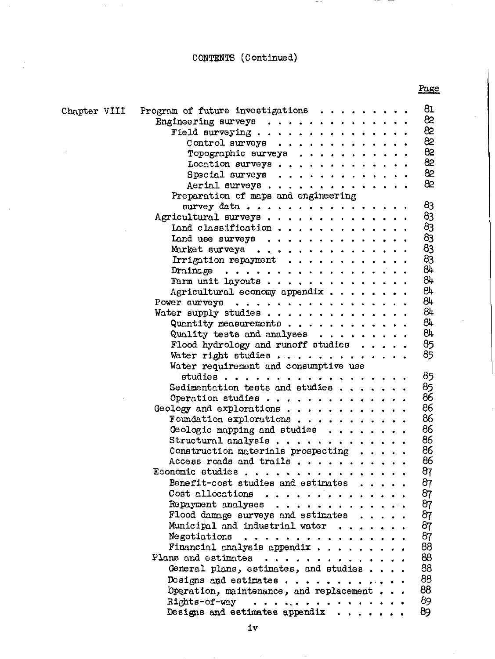$\ddot{\psi}$ 

 $\cdot$ 

 $\sim$   $\sim$ 

 $\sim$   $-$ ---

|              | 81                                                         |
|--------------|------------------------------------------------------------|
| Chapter VIII | Program of future investigations $\cdots$<br>82            |
|              | Engineering surveys<br>82                                  |
|              | Field surveying                                            |
|              | 82<br>Control surveys                                      |
|              | 82<br>Topographic surveys $\ldots$                         |
|              | 82<br>Location surveys                                     |
|              | 82<br>Special surveys $\ldots$                             |
|              | 82<br>Aerial surveys                                       |
|              | Preparation of maps and engineering                        |
|              | 83<br>survey data                                          |
|              | 83<br>Agricultural surveys                                 |
|              | 83<br>Land classification                                  |
|              | 83<br>Land use surveys $\ldots$ ,                          |
|              | 83<br>Market surveys                                       |
|              | 83<br>Irrigation repayment $\ldots$                        |
|              | 84<br>Drainage                                             |
|              | 84<br>Farm unit layouts                                    |
|              | 84<br>Agricultural economy appendix $\ldots$               |
|              | 84<br>Power surveys $\ldots$                               |
|              | 84<br>Water supply studies                                 |
|              | 84<br>Quantity measurements                                |
|              | 84<br>Quality tests and analyses $\dots \dots \dots$       |
|              | 85<br>Flood hydrology and runoff studies $\ldots$ .        |
|              | 85<br>Water right studies                                  |
|              | Water requirement and consumptive use                      |
|              | 85<br>studies                                              |
|              | 85<br>Sedimentation tests and studies                      |
|              | 86<br>Operation studies                                    |
|              | 86<br>Geology and explorations                             |
|              | 86<br>Foundation explorations                              |
|              | 86<br>Geologic mapping and studies $\ldots$                |
|              | 86<br>Structural analysis                                  |
|              | 86<br>Construction materials prospecting $\ldots$ .        |
|              | 86<br>Access roads and trails                              |
|              | 87<br>Economic studies                                     |
|              | 87<br>Benefit-cost studies and estimates                   |
|              | 87<br>Cost allocations                                     |
|              | 87                                                         |
|              | 87<br>Flood damage surveys and estimates $\dots$ .         |
|              | 87<br>Municipal and industrial water $\ldots$ ,            |
|              | 87<br>$N$ egotiations                                      |
|              | 88<br>Financial analysis appendix $\cdots$ ,               |
|              | 88<br>Plans and estimates $\ldots$                         |
|              | 88                                                         |
|              | General plans, estimates, and studies<br>88                |
|              | Designs and estimates $\ldots$                             |
|              | 88<br>Operation, maintenance, and replacement              |
|              | 89<br>Rights-of-way<br>a característica e a característica |
|              | 89<br>Designs and estimates appendix $\ldots$ ,            |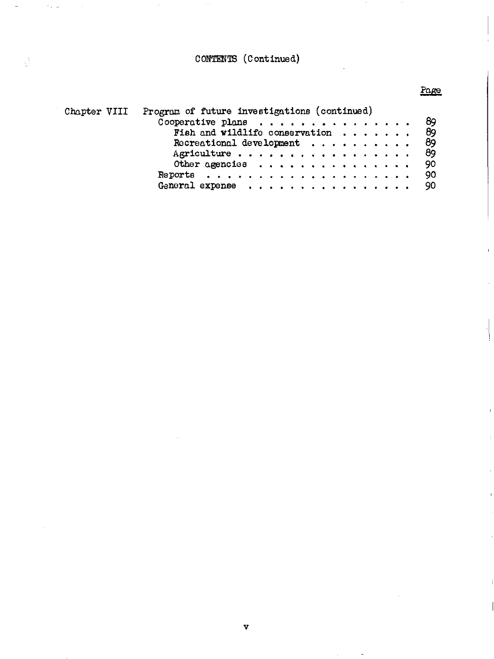$\sim$  .

### Page

 $\overline{\phantom{a}}$ 

| Chapter VIII | Program of future investigations (continued)      |  |
|--------------|---------------------------------------------------|--|
|              | - 89                                              |  |
|              | - 89<br>Fish and wildlife conservation $\cdots$ , |  |
|              | - 89<br>Recreational development $\dots$          |  |
|              | 89                                                |  |
|              | Other agencies<br>- 90                            |  |
|              | 90 <sub>o</sub>                                   |  |
|              | - 90                                              |  |